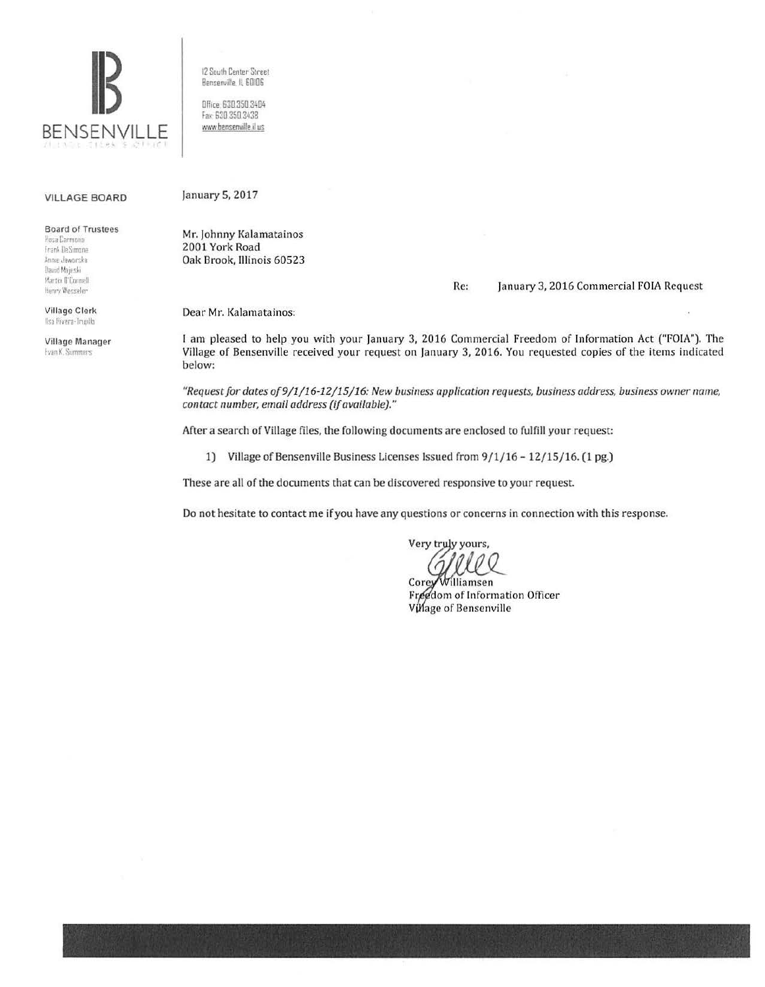

12 South Center Street Benserville, IL 60106

Office 630 350 3404 fax 630 350 3438 www.bensenville.il us

## VILLAGE BOARD

Board of Trustees

Posa Carmona Frank DeSimone Annie Jaworska David Majeski Martin Il'Connell Henry Wesseler

Village Clerk Ilsa Rivera-Trundlo

Village Manager **Evan K. Summers** 

January 5, 2017

Mr. Johnny Kalamatainos 2001 York Road Oak Brook, Illinois 60523

Re: January 3, 2016 Commercial FOIA Request

Dear Mr. Kalamatainos:

I am pleased to help you with your January 3, 2016 Commercial Freedom of Information Act ("FOIA"). The Village of Bensenville received your request on January 3, 2016. You requested copies of the items indicated below:

"Request for dates of 9/1/16-12/15/16: New business application requests, business address, business owner name, *contact number, email address (if available)."* 

After a search of Village files, the following documents are enclosed to fulfill your request:

1) Village of Bensenville Business Licenses Issued from  $9/1/16 - 12/15/16$ . (1 pg.)

These are all of the documents that can be discovered responsive to your request

Do not hesitate to contact me if you have any questions or concerns in connection with this response.

Very truly yours,  $Q$ 

Corey Williamsen Freedom of Information Officer Village of Bensenville